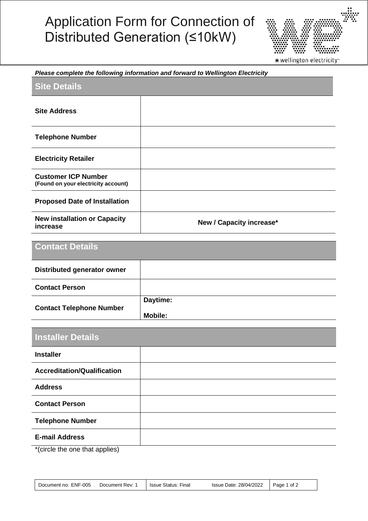## Application Form for Connection of Distributed Generation (≤10kW)



## *Please complete the following information and forward to Wellington Electricity*

| <b>Site Details</b>                                               |                          |
|-------------------------------------------------------------------|--------------------------|
| <b>Site Address</b>                                               |                          |
| <b>Telephone Number</b>                                           |                          |
| <b>Electricity Retailer</b>                                       |                          |
| <b>Customer ICP Number</b><br>(Found on your electricity account) |                          |
| <b>Proposed Date of Installation</b>                              |                          |
| <b>New installation or Capacity</b><br>increase                   | New / Capacity increase* |

| <b>Contact Details</b>             |                |
|------------------------------------|----------------|
| <b>Distributed generator owner</b> |                |
| <b>Contact Person</b>              |                |
| <b>Contact Telephone Number</b>    | Daytime:       |
|                                    | <b>Mobile:</b> |

| <b>Installer Details</b>                                                                                                                                                                                                                              |  |
|-------------------------------------------------------------------------------------------------------------------------------------------------------------------------------------------------------------------------------------------------------|--|
| <b>Installer</b>                                                                                                                                                                                                                                      |  |
| <b>Accreditation/Qualification</b>                                                                                                                                                                                                                    |  |
| <b>Address</b>                                                                                                                                                                                                                                        |  |
| <b>Contact Person</b>                                                                                                                                                                                                                                 |  |
| <b>Telephone Number</b>                                                                                                                                                                                                                               |  |
| <b>E-mail Address</b>                                                                                                                                                                                                                                 |  |
| $\mathbf{a}$ and $\mathbf{a}$ are assumed to the contract of the contract of the contract of the contract of the contract of the contract of the contract of the contract of the contract of the contract of the contract of the cont<br>$\mathbf{r}$ |  |

\*(circle the one that applies)